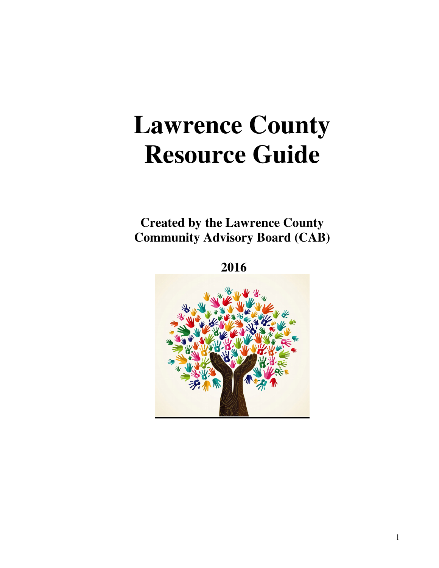# **Lawrence County Resource Guide**

**Created by the Lawrence County Community Advisory Board (CAB)** 

 **2016** 

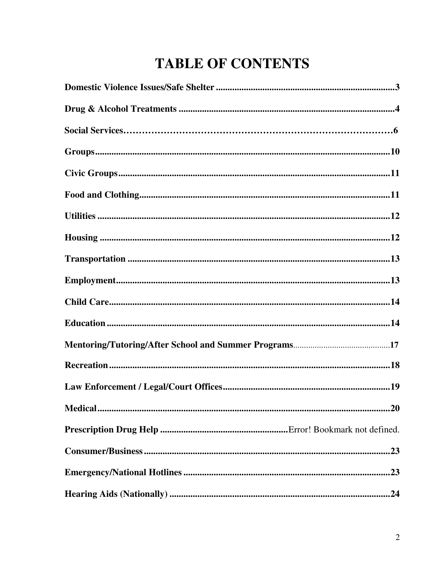# **TABLE OF CONTENTS**

| .23 |
|-----|
| .23 |
|     |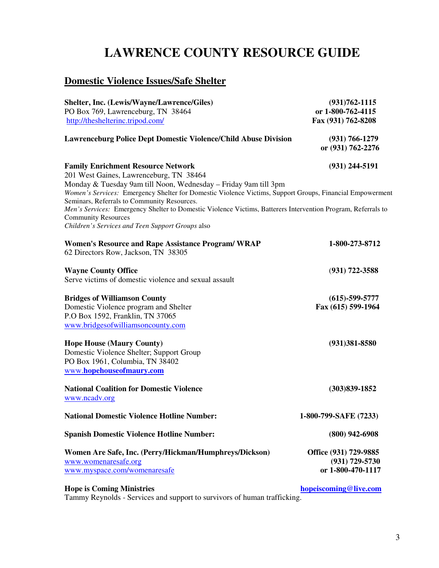# **LAWRENCE COUNTY RESOURCE GUIDE**

# **Domestic Violence Issues/Safe Shelter**

| Shelter, Inc. (Lewis/Wayne/Lawrence/Giles)                                                                   | $(931)762 - 1115$     |
|--------------------------------------------------------------------------------------------------------------|-----------------------|
| PO Box 769, Lawrenceburg, TN 38464                                                                           | or 1-800-762-4115     |
| http://theshelterinc.tripod.com/                                                                             | Fax (931) 762-8208    |
| <b>Lawrenceburg Police Dept Domestic Violence/Child Abuse Division</b>                                       | $(931) 766 - 1279$    |
|                                                                                                              | or (931) 762-2276     |
| <b>Family Enrichment Resource Network</b>                                                                    | $(931)$ 244-5191      |
| 201 West Gaines, Lawrenceburg, TN 38464                                                                      |                       |
| Monday & Tuesday 9am till Noon, Wednesday - Friday 9am till 3pm                                              |                       |
| Women's Services: Emergency Shelter for Domestic Violence Victims, Support Groups, Financial Empowerment     |                       |
| Seminars, Referrals to Community Resources.                                                                  |                       |
| Men's Services: Emergency Shelter to Domestic Violence Victims, Batterers Intervention Program, Referrals to |                       |
| <b>Community Resources</b>                                                                                   |                       |
| Children's Services and Teen Support Groups also                                                             |                       |
| <b>Women's Resource and Rape Assistance Program/ WRAP</b>                                                    | 1-800-273-8712        |
| 62 Directors Row, Jackson, TN 38305                                                                          |                       |
| <b>Wayne County Office</b>                                                                                   | $(931) 722 - 3588$    |
| Serve victims of domestic violence and sexual assault                                                        |                       |
| <b>Bridges of Williamson County</b>                                                                          | $(615) - 599 - 5777$  |
| Domestic Violence program and Shelter                                                                        | Fax (615) 599-1964    |
| P.O Box 1592, Franklin, TN 37065                                                                             |                       |
| www.bridgesofwilliamsoncounty.com                                                                            |                       |
|                                                                                                              |                       |
| <b>Hope House (Maury County)</b>                                                                             | $(931)381 - 8580$     |
| Domestic Violence Shelter; Support Group                                                                     |                       |
| PO Box 1961, Columbia, TN 38402                                                                              |                       |
| www.hopehouseofmaury.com                                                                                     |                       |
| <b>National Coalition for Domestic Violence</b>                                                              | $(303)839 - 1852$     |
| www.ncadv.org                                                                                                |                       |
| <b>National Domestic Violence Hotline Number:</b>                                                            | 1-800-799-SAFE (7233) |
| <b>Spanish Domestic Violence Hotline Number:</b>                                                             | $(800)$ 942-6908      |
| Women Are Safe, Inc. (Perry/Hickman/Humphreys/Dickson)                                                       | Office (931) 729-9885 |
| www.womenaresafe.org                                                                                         | $(931)$ 729-5730      |
| www.myspace.com/womenaresafe                                                                                 | or 1-800-470-1117     |
|                                                                                                              |                       |

### **Hope is Coming Ministries hopeiscoming @live.com**

Tammy Reynolds - Services and support to survivors of human trafficking.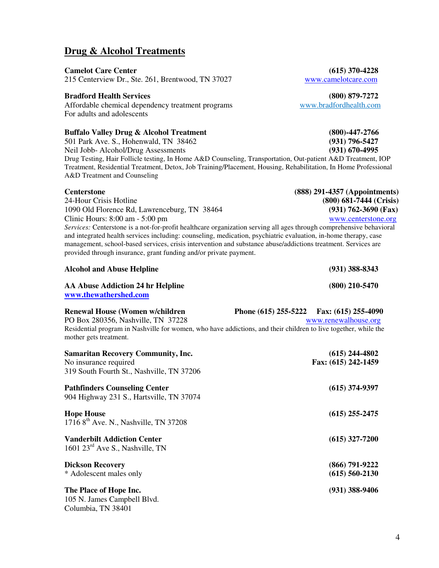4

# **Drug & Alcohol Treatments**

**Camelot Care Center** (615) 370-4228<br>215 Centerview Dr., Ste. 261, Brentwood, TN 37027 www.camelotcare.com 215 Centerview Dr., Ste. 261, Brentwood, TN 37027

#### **Bradford Health Services (800) 879-7272**

Affordable chemical dependency treatment programs www.bradfordhealth.com For adults and adolescents

### **Buffalo Valley Drug & Alcohol Treatment (800)-447-2766**

501 Park Ave. S., Hohenwald, TN 38462 **(931) 796-5427** Neil Jobb- Alcohol/Drug Assessments **(931) 670-4995** Drug Testing, Hair Follicle testing, In Home A&D Counseling, Transportation, Out-patient A&D Treatment, IOP Treatment, Residential Treatment, Detox, Job Training/Placement, Housing, Rehabilitation, In Home Professional A&D Treatment and Counseling

| <b>Centerstone</b>                                                                                                  | $(888)$ 291-4357 (Appointments) |
|---------------------------------------------------------------------------------------------------------------------|---------------------------------|
| 24-Hour Crisis Hotline                                                                                              | $(800)$ 681-7444 (Crisis)       |
| 1090 Old Florence Rd, Lawrenceburg, TN 38464                                                                        | $(931) 762 - 3690$ (Fax)        |
| Clinic Hours: $8:00 \text{ am} - 5:00 \text{ pm}$                                                                   | www.centerstone.org             |
| Services: Centerstone is a not-for-profit healthcare organization serving all ages through comprehensive behavioral |                                 |
| and integrated health services including: counseling, medication, psychiatric evaluation, in-home therapy, case     |                                 |
| management, school-based services, crisis intervention and substance abuse/addictions treatment. Services are       |                                 |
| provided through insurance, grant funding and/or private payment.                                                   |                                 |

| <b>Alcohol and Abuse Helpline</b> |                       |                                   | $(931)$ 388-8343 |  |                     |
|-----------------------------------|-----------------------|-----------------------------------|------------------|--|---------------------|
|                                   | www.thewathershed.com | AA Abuse Addiction 24 hr Helpline |                  |  | $(800)$ 210-5470    |
| $\blacksquare$                    |                       |                                   | --               |  | $(74.7)$ ass $100.$ |

| <b>Renewal House (Women w/children)</b>                                                                                                   | Phone (615) 255-5222 Fax: (615) 255-4090 |                      |
|-------------------------------------------------------------------------------------------------------------------------------------------|------------------------------------------|----------------------|
| PO Box 280356, Nashville, TN 37228                                                                                                        |                                          | www.renewalhouse.org |
| Residential program in Nashville for women, who have addictions, and their children to live together, while the<br>mother gets treatment. |                                          |                      |
| Samaritan Recovery Community Inc.                                                                                                         |                                          | $(615)$ 244-4802     |

| No insurance required<br>319 South Fourth St., Nashville, TN 37206                | $(910/2)$ . $1002$<br>Fax: (615) 242-1459 |
|-----------------------------------------------------------------------------------|-------------------------------------------|
| <b>Pathfinders Counseling Center</b><br>904 Highway 231 S., Hartsville, TN 37074  | $(615)$ 374-9397                          |
| <b>Hope House</b><br>1716 8 <sup>th</sup> Ave. N., Nashville, TN 37208            | $(615)$ 255-2475                          |
| <b>Vanderbilt Addiction Center</b><br>1601 $23^{\text{rd}}$ Ave S., Nashville, TN | $(615)$ 327-7200                          |
| <b>Dickson Recovery</b><br>* Adolescent males only                                | $(866)$ 791-9222<br>$(615)$ 560-2130      |
| The Place of Hope Inc.<br>105 N. James Campbell Blvd.<br>Columbia, TN 38401       | $(931)$ 388-9406                          |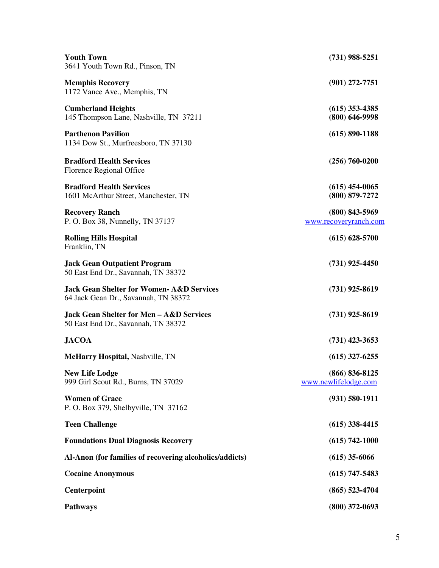| <b>Youth Town</b><br>3641 Youth Town Rd., Pinson, TN                                         | $(731)$ 988-5251                           |
|----------------------------------------------------------------------------------------------|--------------------------------------------|
| <b>Memphis Recovery</b><br>1172 Vance Ave., Memphis, TN                                      | $(901)$ 272-7751                           |
| <b>Cumberland Heights</b><br>145 Thompson Lane, Nashville, TN 37211                          | $(615)$ 353-4385<br>$(800)$ 646-9998       |
| <b>Parthenon Pavilion</b><br>1134 Dow St., Murfreesboro, TN 37130                            | $(615) 890 - 1188$                         |
| <b>Bradford Health Services</b><br>Florence Regional Office                                  | $(256) 760 - 0200$                         |
| <b>Bradford Health Services</b><br>1601 McArthur Street, Manchester, TN                      | $(615)$ 454-0065<br>$(800)$ 879-7272       |
| <b>Recovery Ranch</b><br>P. O. Box 38, Nunnelly, TN 37137                                    | $(800)$ 843-5969<br>www.recoveryranch.com  |
| <b>Rolling Hills Hospital</b><br>Franklin, TN                                                | $(615) 628 - 5700$                         |
| <b>Jack Gean Outpatient Program</b><br>50 East End Dr., Savannah, TN 38372                   | $(731)$ 925-4450                           |
| <b>Jack Gean Shelter for Women- A&amp;D Services</b><br>64 Jack Gean Dr., Savannah, TN 38372 | $(731)$ 925-8619                           |
| <b>Jack Gean Shelter for Men - A&amp;D Services</b><br>50 East End Dr., Savannah, TN 38372   | $(731)$ 925-8619                           |
| <b>JACOA</b>                                                                                 | $(731)$ 423-3653                           |
| <b>MeHarry Hospital, Nashville, TN</b>                                                       | $(615)$ 327-6255                           |
| <b>New Life Lodge</b><br>999 Girl Scout Rd., Burns, TN 37029                                 | $(866) 836 - 8125$<br>www.newlifelodge.com |
| <b>Women of Grace</b><br>P. O. Box 379, Shelbyville, TN 37162                                | $(931) 580 - 1911$                         |
| <b>Teen Challenge</b>                                                                        | $(615)$ 338-4415                           |
| <b>Foundations Dual Diagnosis Recovery</b>                                                   | $(615) 742 - 1000$                         |
| Al-Anon (for families of recovering alcoholics/addicts)                                      | $(615)$ 35-6066                            |
| <b>Cocaine Anonymous</b>                                                                     | $(615)$ 747-5483                           |
| Centerpoint                                                                                  | $(865)$ 523-4704                           |
| <b>Pathways</b>                                                                              | $(800)$ 372-0693                           |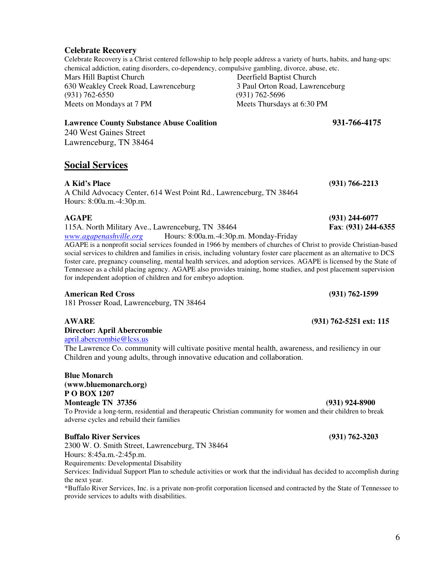**Celebrate Recovery** 

Celebrate Recovery is a Christ centered fellowship to help people address a variety of hurts, habits, and hang-ups: chemical addiction, eating disorders, co-dependency, compulsive gambling, divorce, abuse, etc. Mars Hill Baptist Church Deerfield Baptist Church 630 Weakley Creek Road, Lawrenceburg 3 Paul Orton Road, Lawrenceburg (931) 762-6550 (931) 762-5696 Meets on Mondays at 7 PM Meets Thursdays at 6:30 PM

#### **Lawrence County Substance Abuse Coalition 931-766-4175**

240 West Gaines Street Lawrenceburg, TN 38464

### **Social Services**

**A Kid's Place (931) 766-2213** 

A Child Advocacy Center, 614 West Point Rd., Lawrenceburg, TN 38464 Hours: 8:00a.m.-4:30p.m.

115A. North Military Ave., Lawrenceburg, TN 38464 **Fax**: **(931) 244-6355** 

*www.agapenashville.org* Hours: 8:00a.m.-4:30p.m. Monday-Friday AGAPE is a nonprofit social services founded in 1966 by members of churches of Christ to provide Christian-based

social services to children and families in crisis, including voluntary foster care placement as an alternative to DCS foster care, pregnancy counseling, mental health services, and adoption services. AGAPE is licensed by the State of Tennessee as a child placing agency. AGAPE also provides training, home studies, and post placement supervision for independent adoption of children and for embryo adoption.

### **American Red Cross (931) 762-1599**

181 Prosser Road, Lawrenceburg, TN 38464

**Director: April Abercrombie**  april.abercrombie@lcss.us

The Lawrence Co. community will cultivate positive mental health, awareness, and resiliency in our Children and young adults, through innovative education and collaboration.

**Blue Monarch (www.bluemonarch.org) P O BOX 1207 Monteagle TN 37356 (931) 924-8900**  To Provide a long-term, residential and therapeutic Christian community for women and their children to break adverse cycles and rebuild their families

### **Buffalo River Services (931) 762-3203**

2300 W. O. Smith Street, Lawrenceburg, TN 38464 Hours: 8:45a.m.-2:45p.m. Requirements: Developmental Disability

Services: Individual Support Plan to schedule activities or work that the individual has decided to accomplish during the next year.

\*Buffalo River Services, Inc. is a private non-profit corporation licensed and contracted by the State of Tennessee to provide services to adults with disabilities.

**AGAPE (931) 244-6077** 

**AWARE (931) 762-5251 ext: 115**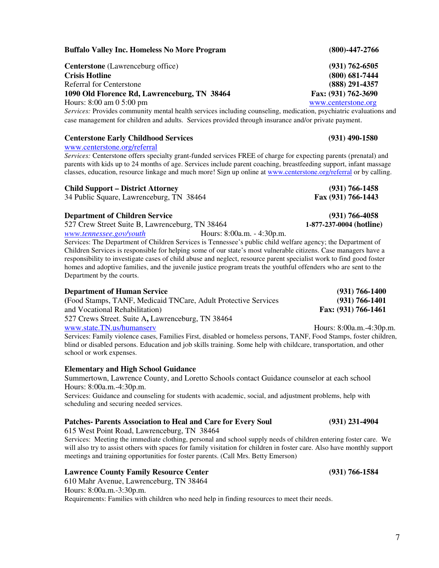**Buffalo Valley Inc. Homeless No More Program (800)-447-2766** 

**Centerstone** (Lawrenceburg office) **(931) 762-6505 Crisis Hotline (800) 681-7444**  Referral for Centerstone **(888) 291-4357 1090 Old Florence Rd, Lawrenceburg, TN 38464 Fax: (931) 762-3690**  Hours: 8:00 am 0 5:00 pm www.centerstone.org

*Services:* Provides community mental health services including counseling, medication, psychiatric evaluations and case management for children and adults. Services provided through insurance and/or private payment.

#### **Centerstone Early Childhood Services (931) 490-1580**

www.centerstone.org/referral

*Services:* Centerstone offers specialty grant-funded services FREE of charge for expecting parents (prenatal) and parents with kids up to 24 months of age. Services include parent coaching, breastfeeding support, infant massage classes, education, resource linkage and much more! Sign up online at www.centerstone.org/referral or by calling.

#### **Child Support – District Attorney (931) 766-1458**

34 Public Square, Lawrenceburg, TN 38464 **Fax (931) 766-1443**

**Department of Children Service** (931) 766-4058<br>
527 Crew Street Suite B, Lawrenceburg, TN 38464 **1-877-237-0004 (hotline**) 527 Crew Street Suite B, Lawrenceburg, TN 38464

*www.tennessee.gov/youth* Hours: 8:00a.m. - 4:30p.m. Services: The Department of Children Services is Tennessee's public child welfare agency; the Department of Children Services is responsible for helping some of our state's most vulnerable citizens. Case managers have a responsibility to investigate cases of child abuse and neglect, resource parent specialist work to find good foster homes and adoptive families, and the juvenile justice program treats the youthful offenders who are sent to the Department by the courts.

#### **Department of Human Service (931) 766-1400 (**Food Stamps, TANF, Medicaid TNCare, Adult Protective Services **(931) 766-1401**  and Vocational Rehabilitation) **Fax: (931) 766-1461**  527 Crews Street. Suite A**,** Lawrenceburg, TN 38464 www.state.TN.us/humanserv Hours: 8:00a.m.-4:30p.m.

Services: Family violence cases, Families First, disabled or homeless persons, TANF, Food Stamps, foster children, blind or disabled persons. Education and job skills training. Some help with childcare, transportation, and other school or work expenses.

#### **Elementary and High School Guidance**

Summertown, Lawrence County, and Loretto Schools contact Guidance counselor at each school Hours: 8:00a.m.-4:30p.m.

Services: Guidance and counseling for students with academic, social, and adjustment problems, help with scheduling and securing needed services.

#### **Patches- Parents Association to Heal and Care for Every Soul (931) 231-4904**

615 West Point Road, Lawrenceburg, TN 38464

Services: Meeting the immediate clothing, personal and school supply needs of children entering foster care. We will also try to assist others with spaces for family visitation for children in foster care. Also have monthly support meetings and training opportunities for foster parents. (Call Mrs. Betty Emerson)

#### **Lawrence County Family Resource Center (931) 766-1584**

610 Mahr Avenue, Lawrenceburg, TN 38464 Hours: 8:00a.m.-3:30p.m. Requirements: Families with children who need help in finding resources to meet their needs.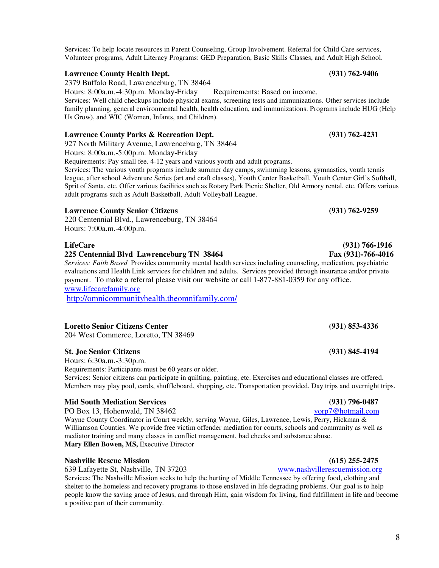Services: To help locate resources in Parent Counseling, Group Involvement. Referral for Child Care services, Volunteer programs, Adult Literacy Programs: GED Preparation, Basic Skills Classes, and Adult High School.

#### **Lawrence County Health Dept. (931) 762-9406**

2379 Buffalo Road, Lawrenceburg, TN 38464

Hours: 8:00a.m.-4:30p.m. Monday-Friday Requirements: Based on income.

Services: Well child checkups include physical exams, screening tests and immunizations. Other services include family planning, general environmental health, health education, and immunizations. Programs include HUG (Help Us Grow), and WIC (Women, Infants, and Children).

#### **Lawrence County Parks & Recreation Dept. (931) 762-4231**

927 North Military Avenue, Lawrenceburg, TN 38464

Hours: 8:00a.m.-5:00p.m. Monday-Friday

Requirements: Pay small fee. 4-12 years and various youth and adult programs.

Services: The various youth programs include summer day camps, swimming lessons, gymnastics, youth tennis league, after school Adventure Series (art and craft classes), Youth Center Basketball, Youth Center Girl's Softball, Sprit of Santa, etc. Offer various facilities such as Rotary Park Picnic Shelter, Old Armory rental, etc. Offers various adult programs such as Adult Basketball, Adult Volleyball League.

### **Lawrence County Senior Citizens (931) 762-9259**

220 Centennial Blvd., Lawrenceburg, TN 38464 Hours: 7:00a.m.-4:00p.m.

### **225 Centennial Blvd Lawrenceburg TN 38464 Fax (931)-766-4016**

*Services: Faith Based* Provides community mental health services including counseling, medication, psychiatric evaluations and Health Link services for children and adults. Services provided through insurance and/or private payment. To make a referral please visit our website or call 1-877-881-0359 for any office. www.lifecarefamily.org

http://omnicommunityhealth.theomnifamily.com/

### **Loretto Senior Citizens Center (931) 853-4336**

204 West Commerce, Loretto, TN 38469

#### **St. Joe Senior Citizens (931) 845-4194**

Hours: 6:30a.m.-3:30p.m.

Requirements: Participants must be 60 years or older.

Services: Senior citizens can participate in quilting, painting, etc. Exercises and educational classes are offered. Members may play pool, cards, shuffleboard, shopping, etc. Transportation provided. Day trips and overnight trips.

# **Mid South Mediation Services** (931) 796-0487<br>
PO Box 13, Hohenwald, TN 38462 (931) 896-0487

PO Box 13, Hohenwald, TN 38462

Wayne County Coordinator in Court weekly, serving Wayne, Giles, Lawrence, Lewis, Perry, Hickman & Williamson Counties. We provide free victim offender mediation for courts, schools and community as well as mediator training and many classes in conflict management, bad checks and substance abuse. **Mary Ellen Bowen, MS, Executive Director** 

### **Nashville Rescue Mission (615) 255-2475**

639 Lafayette St, Nashville, TN 37203 www.nashvillerescuemission.org

Services: The Nashville Mission seeks to help the hurting of Middle Tennessee by offering food, clothing and shelter to the homeless and recovery programs to those enslaved in life degrading problems. Our goal is to help people know the saving grace of Jesus, and through Him, gain wisdom for living, find fulfillment in life and become a positive part of their community.

# **LifeCare (931) 766-1916**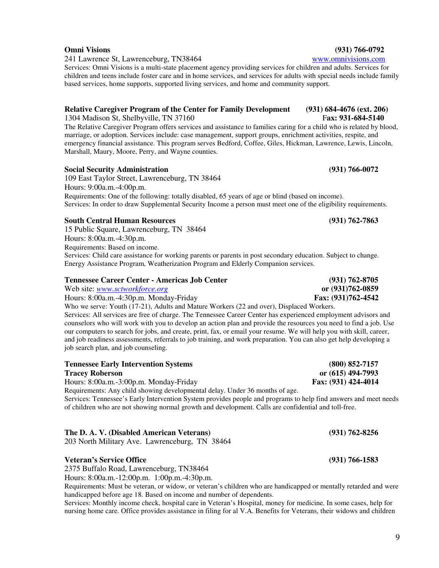241 Lawrence St, Lawrenceburg, TN38464 www.omnivisions.com

Services: Omni Visions is a multi-state placement agency providing services for children and adults. Services for children and teens include foster care and in home services, and services for adults with special needs include family based services, home supports, supported living services, and home and community support.

# **Relative Caregiver Program of the Center for Family Development (931) 684-4676 (ext. 206)**<br>1304 Madison St. Shelbyville, TN 37160 *Fax: 931-684-5140*

1304 Madison St, Shelbyville, TN 37160

The Relative Caregiver Program offers services and assistance to families caring for a child who is related by blood, marriage, or adoption. Services include: case management, support groups, enrichment activities, respite, and emergency financial assistance. This program serves Bedford, Coffee, Giles, Hickman, Lawrence, Lewis, Lincoln, Marshall, Maury, Moore, Perry, and Wayne counties.

#### **Social Security Administration (931) 766-0072**

109 East Taylor Street, Lawrenceburg, TN 38464 Hours: 9:00a.m.-4:00p.m. Requirements: One of the following: totally disabled, 65 years of age or blind (based on income). Services: In order to draw Supplemental Security Income a person must meet one of the eligibility requirements.

#### **South Central Human Resources (931) 762-7863**

job search plan, and job counseling.

15 Public Square, Lawrenceburg, TN 38464 Hours: 8:00a.m.-4:30p.m. Requirements: Based on income. Services: Child care assistance for working parents or parents in post secondary education. Subject to change. Energy Assistance Program, Weatherization Program and Elderly Companion services.

#### **Tennessee Career Center - Americas Job Center (931) 762-8705**

Web site: *www.sctworkforce.org* **or (931)762-0859**  Hours: 8:00a.m.-4:30p.m. Monday-Friday **Fax: (931)762-4542** Who we serve: Youth (17-21), Adults and Mature Workers (22 and over), Displaced Workers. Services: All services are free of charge. The Tennessee Career Center has experienced employment advisors and counselors who will work with you to develop an action plan and provide the resources you need to find a job. Use our computers to search for jobs, and create, print, fax, or email your resume. We will help you with skill, career, and job readiness assessments, referrals to job training, and work preparation. You can also get help developing a

| <b>Tennessee Early Intervention Systems</b>                                                                   | $(800) 852 - 7157$  |
|---------------------------------------------------------------------------------------------------------------|---------------------|
| <b>Tracey Roberson</b>                                                                                        | or (615) 494-7993   |
| Hours: 8:00a.m.-3:00p.m. Monday-Friday                                                                        | Fax: (931) 424-4014 |
| Requirements: Any child showing developmental delay. Under 36 months of age.                                  |                     |
| Services: Tennessee's Early Intervention System provides people and programs to help find answers and meet ne |                     |

Services: Tennessee's Early Intervention System provides people and programs to help find answers and meet needs of children who are not showing normal growth and development. Calls are confidential and toll-free.

#### **The D. A. V. (Disabled American Veterans) (931) 762-8256**

203 North Military Ave. Lawrenceburg, TN 38464

#### **Veteran's Service Office (931) 766-1583**

2375 Buffalo Road, Lawrenceburg, TN38464 Hours: 8:00a.m.-12:00p.m. 1:00p.m.-4:30p.m.

Requirements: Must be veteran, or widow, or veteran's children who are handicapped or mentally retarded and were handicapped before age 18. Based on income and number of dependents.

Services: Monthly income check, hospital care in Veteran's Hospital, money for medicine. In some cases, help for nursing home care. Office provides assistance in filing for al V.A. Benefits for Veterans, their widows and children

#### **Omni Visions (931) 766-0792**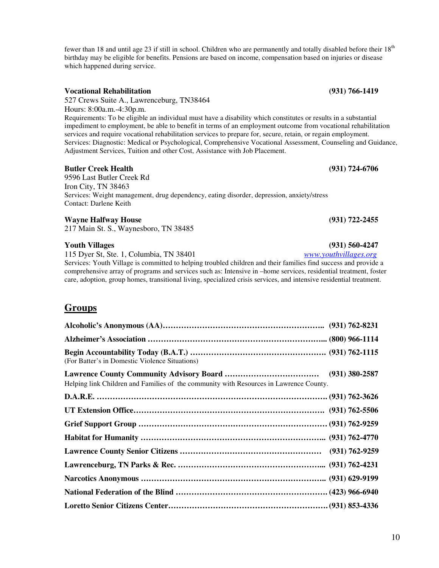fewer than 18 and until age 23 if still in school. Children who are permanently and totally disabled before their 18<sup>th</sup> birthday may be eligible for benefits. Pensions are based on income, compensation based on injuries or disease which happened during service.

#### **Vocational Rehabilitation (931) 766-1419**

527 Crews Suite A., Lawrenceburg, TN38464 Hours: 8:00a.m.-4:30p.m. Requirements: To be eligible an individual must have a disability which constitutes or results in a substantial impediment to employment, be able to benefit in terms of an employment outcome from vocational rehabilitation services and require vocational rehabilitation services to prepare for, secure, retain, or regain employment. Services: Diagnostic: Medical or Psychological, Comprehensive Vocational Assessment, Counseling and Guidance, Adjustment Services, Tuition and other Cost, Assistance with Job Placement.

#### **Butler Creek Health (931) 724-6706**

9596 Last Butler Creek Rd Iron City, TN 38463 Services: Weight management, drug dependency, eating disorder, depression, anxiety/stress Contact: Darlene Keith

#### **Wayne Halfway House (931) 722-2455**

217 Main St. S., Waynesboro, TN 38485

#### **Youth Villages (931) 560-4247**

115 Dyer St, Ste. 1, Columbia, TN 38401 *www.youthvillages.org*

Services: Youth Village is committed to helping troubled children and their families find success and provide a comprehensive array of programs and services such as: Intensive in –home services, residential treatment, foster care, adoption, group homes, transitional living, specialized crisis services, and intensive residential treatment.

### **Groups**

| (For Batter's in Domestic Violence Situations)                                         |                  |  |
|----------------------------------------------------------------------------------------|------------------|--|
| Helping link Children and Families of the community with Resources in Lawrence County. | $(931)$ 380-2587 |  |
|                                                                                        |                  |  |
|                                                                                        |                  |  |
|                                                                                        |                  |  |
|                                                                                        |                  |  |
|                                                                                        |                  |  |
|                                                                                        |                  |  |
|                                                                                        |                  |  |
|                                                                                        |                  |  |
|                                                                                        |                  |  |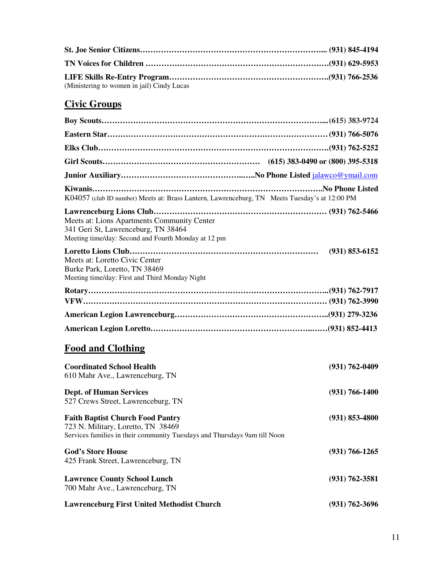| (Ministering to women in jail) Cindy Lucas |  |
|--------------------------------------------|--|

# **Civic Groups**

| K04057 (club ID number) Meets at: Brass Lantern, Lawrenceburg, TN Meets Tuesday's at 12:00 PM                                                              |                    |
|------------------------------------------------------------------------------------------------------------------------------------------------------------|--------------------|
| Meets at: Lions Apartments Community Center<br>341 Geri St, Lawrenceburg, TN 38464<br>Meeting time/day: Second and Fourth Monday at 12 pm                  |                    |
| Meets at: Loretto Civic Center<br>Burke Park, Loretto, TN 38469<br>Meeting time/day: First and Third Monday Night                                          | $(931) 853 - 6152$ |
|                                                                                                                                                            |                    |
|                                                                                                                                                            |                    |
|                                                                                                                                                            |                    |
| <b>Food and Clothing</b>                                                                                                                                   |                    |
| <b>Coordinated School Health</b><br>610 Mahr Ave., Lawrenceburg, TN                                                                                        | $(931) 762 - 0409$ |
| <b>Dept. of Human Services</b><br>527 Crews Street, Lawrenceburg, TN                                                                                       | $(931) 766 - 1400$ |
| <b>Faith Baptist Church Food Pantry</b><br>723 N. Military, Loretto, TN 38469<br>Services families in their community Tuesdays and Thursdays 9am till Noon | $(931) 853 - 4800$ |
| <b>God's Store House</b><br>425 Frank Street, Lawrenceburg, TN                                                                                             | $(931) 766 - 1265$ |
| <b>Lawrence County School Lunch</b><br>700 Mahr Ave., Lawrenceburg, TN                                                                                     | $(931) 762 - 3581$ |
| <b>Lawrenceburg First United Methodist Church</b>                                                                                                          | $(931) 762 - 3696$ |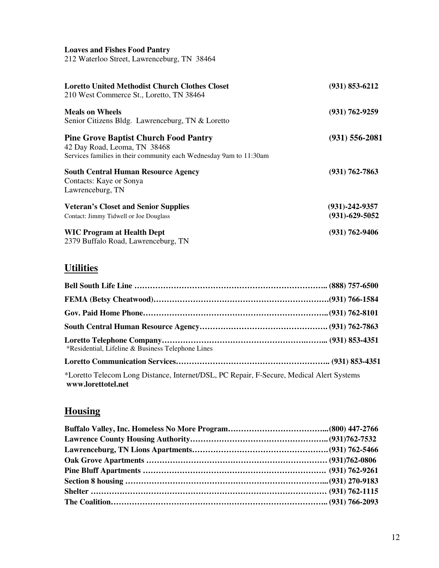#### **Loaves and Fishes Food Pantry**

212 Waterloo Street, Lawrenceburg, TN 38464

| <b>Loretto United Methodist Church Clothes Closet</b><br>210 West Commerce St., Loretto, TN 38464                                                  | $(931) 853 - 6212$                           |
|----------------------------------------------------------------------------------------------------------------------------------------------------|----------------------------------------------|
| <b>Meals on Wheels</b><br>Senior Citizens Bldg. Lawrenceburg, TN & Loretto                                                                         | $(931) 762 - 9259$                           |
| <b>Pine Grove Baptist Church Food Pantry</b><br>42 Day Road, Leoma, TN 38468<br>Services families in their community each Wednesday 9am to 11:30am | $(931) 556 - 2081$                           |
| <b>South Central Human Resource Agency</b><br>Contacts: Kaye or Sonya<br>Lawrenceburg, TN                                                          | $(931) 762 - 7863$                           |
| <b>Veteran's Closet and Senior Supplies</b><br>Contact: Jimmy Tidwell or Joe Douglass                                                              | $(931) - 242 - 9357$<br>$(931) - 629 - 5052$ |
| <b>WIC Program at Health Dept</b><br>2379 Buffalo Road, Lawrenceburg, TN                                                                           | $(931) 762 - 9406$                           |

# **Utilities**

| *Residential, Lifeline & Business Telephone Lines                                                              |  |
|----------------------------------------------------------------------------------------------------------------|--|
|                                                                                                                |  |
| *Loretto Telecom Long Distance, Internet/DSL, PC Repair, F-Secure, Medical Alert Systems<br>www.lorettotel.net |  |

# **Housing**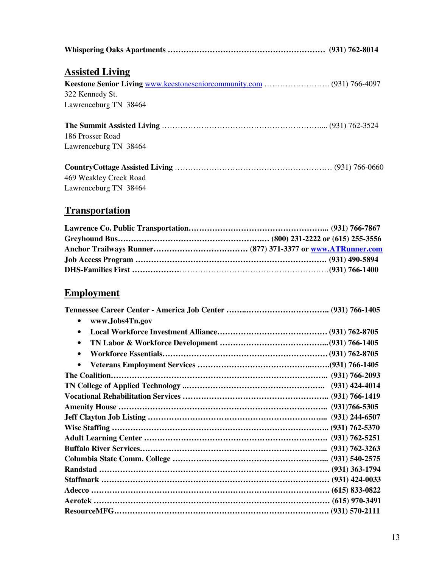| <b>Assisted Living</b> |  |
|------------------------|--|
|                        |  |
| 322 Kennedy St.        |  |
| Lawrenceburg TN 38464  |  |
| 186 Prosser Road       |  |
| Lawrenceburg TN 38464  |  |
|                        |  |
| 469 Weakley Creek Road |  |
| Lawrenceburg TN 38464  |  |

# **Transportation**

# **Employment**

| www.Jobs4Tn.gov<br>$\bullet$ |  |
|------------------------------|--|
| $\bullet$                    |  |
| $\bullet$                    |  |
| $\bullet$                    |  |
| $\bullet$                    |  |
|                              |  |
|                              |  |
|                              |  |
|                              |  |
|                              |  |
|                              |  |
|                              |  |
|                              |  |
|                              |  |
|                              |  |
|                              |  |
|                              |  |
|                              |  |
|                              |  |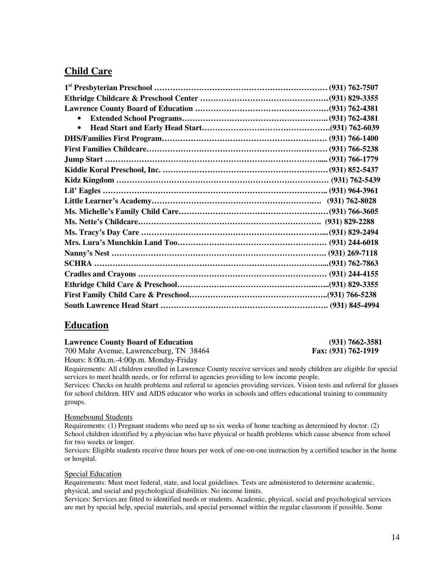## **Child Care**

| $\bullet$ |  |
|-----------|--|
| $\bullet$ |  |
|           |  |
|           |  |
|           |  |
|           |  |
|           |  |
|           |  |
|           |  |
|           |  |
|           |  |
|           |  |
|           |  |
|           |  |
|           |  |
|           |  |
|           |  |
|           |  |
|           |  |

### **Education**

**Lawrence County Board of Education** (931) 7662-3581 <br>
700 Mahr Avenue, Lawrenceburg, TN 38464 **Fax:** (931) 762-1919

700 Mahr Avenue, Lawrenceburg, TN 38464 Hours: 8:00a.m.-4:00p.m. Monday-Friday

Requirements: All children enrolled in Lawrence County receive services and needy children are eligible for special services to meet health needs, or for referral to agencies providing to low income people.

Services: Checks on health problems and referral to agencies providing services. Vision tests and referral for glasses for school children. HIV and AIDS educator who works in schools and offers educational training to community groups.

#### Homebound Students

Requirements: (1) Pregnant students who need up to six weeks of home teaching as determined by doctor. (2) School children identified by a physician who have physical or health problems which cause absence from school for two weeks or longer.

Services: Eligible students receive three hours per week of one-on-one instruction by a certified teacher in the home or hospital.

#### Special Education

Requirements: Must meet federal, state, and local guidelines. Tests are administered to determine academic, physical, and social and psychological disabilities. No income limits.

Services: Services are fitted to identified needs or students. Academic, physical, social and psychological services are met by special help, special materials, and special personnel within the regular classroom if possible. Some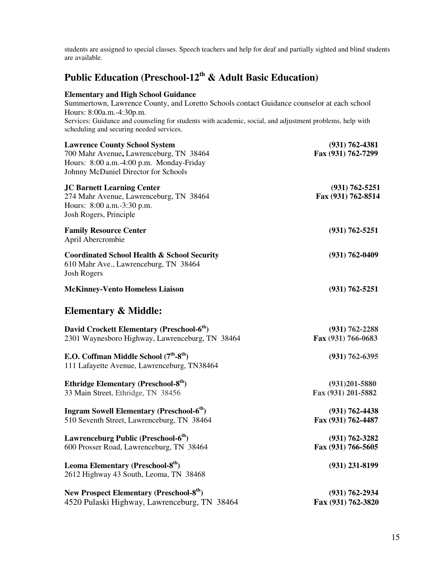students are assigned to special classes. Speech teachers and help for deaf and partially sighted and blind students are available.

# **Public Education (Preschool-12th & Adult Basic Education)**

#### **Elementary and High School Guidance**

Summertown, Lawrence County, and Loretto Schools contact Guidance counselor at each school Hours: 8:00a.m.-4:30p.m. Services: Guidance and counseling for students with academic, social, and adjustment problems, help with scheduling and securing needed services. **Lawrence County School System (931) 762-4381**<br>
700 Mahr Avenue, Lawrenceburg, TN 38464 **Fax (931) 762-7299** 700 Mahr Avenue, Lawrenceburg, TN 38464 Hours: 8:00 a.m.-4:00 p.m. Monday-Friday Johnny McDaniel Director for Schools **JC Barnett Learning Center (931) 762-5251**  274 Mahr Avenue, Lawrenceburg, TN 38464 **Fax (931) 762-8514** Hours: 8:00 a.m.-3:30 p.m. Josh Rogers, Principle **Family Resource Center (931) 762-5251**  April Abercrombie

**Coordinated School Health & School Security (931) 762-0409**  610 Mahr Ave., Lawrenceburg, TN 38464 Josh Rogers

**McKinney-Vento Homeless Liaison (931) 762-5251** 

## **Elementary & Middle:**

| David Crockett Elementary (Preschool-6 <sup>th</sup> )                                  | $(931) 762 - 2288$ |
|-----------------------------------------------------------------------------------------|--------------------|
| 2301 Waynesboro Highway, Lawrenceburg, TN 38464                                         | Fax (931) 766-0683 |
| E.O. Coffman Middle School $(7th-8th)$                                                  | $(931) 762 - 6395$ |
| 111 Lafayette Avenue, Lawrenceburg, TN38464                                             |                    |
| Ethridge Elementary (Preschool-8 <sup>th</sup> )                                        | $(931)201 - 5880$  |
| 33 Main Street, Ethridge, TN 38456                                                      | Fax (931) 201-5882 |
| <b>Ingram Sowell Elementary (Preschool-6th)</b>                                         | $(931) 762 - 4438$ |
| 510 Seventh Street, Lawrenceburg, TN 38464                                              | Fax (931) 762-4487 |
| Lawrenceburg Public (Preschool-6 <sup>th</sup> )                                        | $(931) 762 - 3282$ |
| 600 Prosser Road, Lawrenceburg, TN 38464                                                | Fax (931) 766-5605 |
| Leoma Elementary (Preschool-8 <sup>th</sup> )<br>2612 Highway 43 South, Leoma, TN 38468 | $(931)$ 231-8199   |
| New Prospect Elementary (Preschool-8 <sup>th</sup> )                                    | $(931) 762 - 2934$ |
|                                                                                         |                    |

4520 Pulaski Highway, Lawrenceburg, TN 38464 **Fax (931) 762-3820**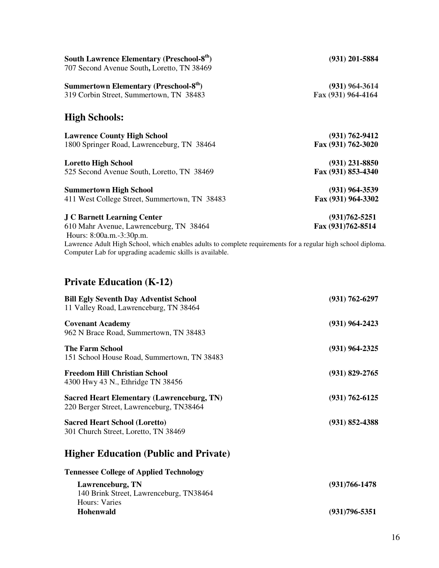| South Lawrence Elementary (Preschool-8 <sup>th</sup> )<br>707 Second Avenue South, Loretto, TN 38469         | $(931)$ 201-5884   |
|--------------------------------------------------------------------------------------------------------------|--------------------|
| Summertown Elementary (Preschool-8 <sup>th</sup> )                                                           | $(931) 964 - 3614$ |
| 319 Corbin Street, Summertown, TN 38483                                                                      | Fax (931) 964-4164 |
| <b>High Schools:</b>                                                                                         |                    |
| <b>Lawrence County High School</b>                                                                           | $(931) 762 - 9412$ |
| 1800 Springer Road, Lawrenceburg, TN 38464                                                                   | Fax (931) 762-3020 |
| <b>Loretto High School</b>                                                                                   | $(931)$ 231-8850   |
| 525 Second Avenue South, Loretto, TN 38469                                                                   | Fax (931) 853-4340 |
| <b>Summertown High School</b>                                                                                | $(931)$ 964-3539   |
| 411 West College Street, Summertown, TN 38483                                                                | Fax (931) 964-3302 |
| <b>J C Barnett Learning Center</b>                                                                           | $(931)762 - 5251$  |
| 610 Mahr Avenue, Lawrenceburg, TN 38464                                                                      | Fax (931)762-8514  |
| Hours: 8:00a.m.-3:30p.m.                                                                                     |                    |
| Lawrence Adult High School, which enables adults to complete requirements for a regular high school diploma. |                    |
| Computer Lab for upgrading academic skills is available.                                                     |                    |

# **Private Education (K-12)**

| <b>Bill Egly Seventh Day Adventist School</b><br>11 Valley Road, Lawrenceburg, TN 38464       | $(931) 762 - 6297$ |
|-----------------------------------------------------------------------------------------------|--------------------|
| <b>Covenant Academy</b><br>962 N Brace Road, Summertown, TN 38483                             | $(931)$ 964-2423   |
| <b>The Farm School</b><br>151 School House Road, Summertown, TN 38483                         | $(931)$ 964-2325   |
| <b>Freedom Hill Christian School</b><br>4300 Hwy 43 N., Ethridge TN 38456                     | $(931) 829 - 2765$ |
| <b>Sacred Heart Elementary (Lawrenceburg, TN)</b><br>220 Berger Street, Lawrenceburg, TN38464 | $(931) 762 - 6125$ |
| <b>Sacred Heart School (Loretto)</b><br>301 Church Street, Loretto, TN 38469                  | $(931) 852 - 4388$ |
| <b>Higher Education (Public and Private)</b>                                                  |                    |
| <b>Tennessee College of Applied Technology</b>                                                |                    |
| Lawrenceburg, TN<br>140 Brink Street, Lawrenceburg, TN38464<br>Hours: Varies                  | $(931)766 - 1478$  |
| <b>Hohenwald</b>                                                                              | $(931)796 - 5351$  |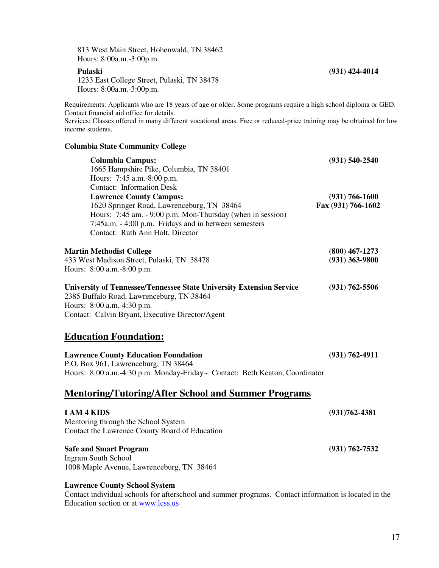813 West Main Street, Hohenwald, TN 38462 Hours: 8:00a.m.-3:00p.m.

 1233 East College Street, Pulaski, TN 38478 Hours: 8:00a.m.-3:00p.m.

Requirements: Applicants who are 18 years of age or older. Some programs require a high school diploma or GED. Contact financial aid office for details.

Services: Classes offered in many different vocational areas. Free or reduced-price training may be obtained for low income students.

#### **Columbia State Community College**

| <b>Columbia Campus:</b>                                                     | $(931)$ 540-2540   |
|-----------------------------------------------------------------------------|--------------------|
| 1665 Hampshire Pike, Columbia, TN 38401                                     |                    |
| Hours: 7:45 a.m.-8:00 p.m.                                                  |                    |
| <b>Contact:</b> Information Desk                                            |                    |
| <b>Lawrence County Campus:</b>                                              | $(931) 766 - 1600$ |
| 1620 Springer Road, Lawrenceburg, TN 38464                                  | Fax (931) 766-1602 |
| Hours: 7:45 am. - 9:00 p.m. Mon-Thursday (when in session)                  |                    |
| 7:45a.m. - 4:00 p.m. Fridays and in between semesters                       |                    |
| Contact: Ruth Ann Holt, Director                                            |                    |
| <b>Martin Methodist College</b>                                             | $(800)$ 467-1273   |
| 433 West Madison Street, Pulaski, TN 38478                                  | $(931)$ 363-9800   |
| Hours: 8:00 a.m. -8:00 p.m.                                                 |                    |
| <b>University of Tennessee/Tennessee State University Extension Service</b> | $(931) 762 - 5506$ |
| 2385 Buffalo Road, Lawrenceburg, TN 38464                                   |                    |
| Hours: 8:00 a.m.-4:30 p.m.                                                  |                    |
| Contact: Calvin Bryant, Executive Director/Agent                            |                    |
| <b>Education Foundation:</b>                                                |                    |
| <b>Lawrence County Education Foundation</b>                                 | $(931) 762 - 4911$ |
| P.O. Box 961, Lawrenceburg, TN 38464                                        |                    |
| Hours: 8:00 a.m.-4:30 p.m. Monday-Friday~ Contact: Beth Keaton, Coordinator |                    |
| <b>Mentoring/Tutoring/After School and Summer Programs</b>                  |                    |
| I AM 4 KIDS                                                                 | $(931)762 - 4381$  |
| Mentoring through the School System                                         |                    |
| Contact the Lawrence County Board of Education                              |                    |
| <b>Safe and Smart Program</b>                                               | $(931) 762 - 7532$ |
| <b>Ingram South School</b>                                                  |                    |
| 1008 Maple Avenue, Lawrenceburg, TN 38464                                   |                    |
|                                                                             |                    |

### **Lawrence County School System**

Contact individual schools for afterschool and summer programs. Contact information is located in the Education section or at www.lcss.us

#### **Pulaski (931) 424-4014**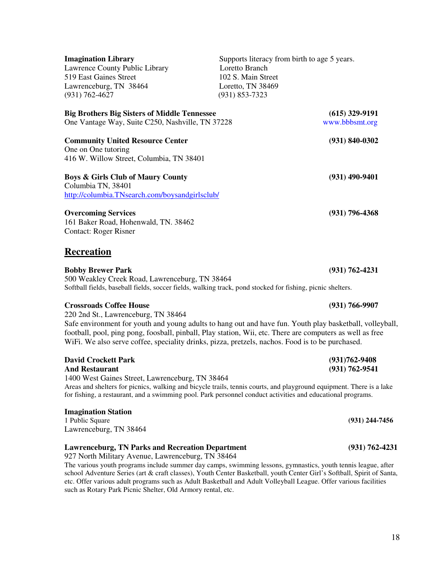| <b>Imagination Library</b><br>Lawrence County Public Library<br>519 East Gaines Street<br>Lawrenceburg, TN 38464<br>$(931) 762 - 4627$                                                                                                                                                                                                                                                             | Loretto Branch<br>102 S. Main Street<br>Loretto, TN 38469<br>$(931) 853 - 7323$ | Supports literacy from birth to age 5 years. |
|----------------------------------------------------------------------------------------------------------------------------------------------------------------------------------------------------------------------------------------------------------------------------------------------------------------------------------------------------------------------------------------------------|---------------------------------------------------------------------------------|----------------------------------------------|
| <b>Big Brothers Big Sisters of Middle Tennessee</b><br>One Vantage Way, Suite C250, Nashville, TN 37228                                                                                                                                                                                                                                                                                            |                                                                                 | $(615)$ 329-9191<br>www.bbbsmt.org           |
| <b>Community United Resource Center</b><br>One on One tutoring<br>416 W. Willow Street, Columbia, TN 38401                                                                                                                                                                                                                                                                                         |                                                                                 | $(931) 840 - 0302$                           |
| <b>Boys &amp; Girls Club of Maury County</b><br>Columbia TN, 38401<br>http://columbia.TNsearch.com/boysandgirlsclub/                                                                                                                                                                                                                                                                               |                                                                                 | $(931)$ 490-9401                             |
| <b>Overcoming Services</b><br>161 Baker Road, Hohenwald, TN. 38462<br><b>Contact: Roger Risner</b>                                                                                                                                                                                                                                                                                                 |                                                                                 | $(931)$ 796-4368                             |
| <b>Recreation</b>                                                                                                                                                                                                                                                                                                                                                                                  |                                                                                 |                                              |
| <b>Bobby Brewer Park</b><br>500 Weakley Creek Road, Lawrenceburg, TN 38464<br>Softball fields, baseball fields, soccer fields, walking track, pond stocked for fishing, picnic shelters.                                                                                                                                                                                                           |                                                                                 | $(931) 762 - 4231$                           |
| <b>Crossroads Coffee House</b><br>220 2nd St., Lawrenceburg, TN 38464<br>Safe environment for youth and young adults to hang out and have fun. Youth play basketball, volleyball,<br>football, pool, ping pong, foosball, pinball, Play station, Wii, etc. There are computers as well as free<br>WiFi. We also serve coffee, speciality drinks, pizza, pretzels, nachos. Food is to be purchased. |                                                                                 | $(931) 766 - 9907$                           |
| <b>David Crockett Park</b><br><b>And Restaurant</b><br>1400 West Gaines Street, Lawrenceburg, TN 38464<br>Areas and shelters for picnics, walking and bicycle trails, tennis courts, and playground equipment. There is a lake<br>for fishing, a restaurant, and a swimming pool. Park personnel conduct activities and educational programs.                                                      |                                                                                 | $(931)762 - 9408$<br>$(931) 762 - 9541$      |
| <b>Imagination Station</b><br>1 Public Square                                                                                                                                                                                                                                                                                                                                                      |                                                                                 | $(931)$ 244-7456                             |

Lawrenceburg, TN 38464

### **Lawrenceburg, TN Parks and Recreation Department (931) 762-4231**

927 North Military Avenue, Lawrenceburg, TN 38464

The various youth programs include summer day camps, swimming lessons, gymnastics, youth tennis league, after school Adventure Series (art & craft classes), Youth Center Basketball, youth Center Girl's Softball, Spirit of Santa, etc. Offer various adult programs such as Adult Basketball and Adult Volleyball League. Offer various facilities such as Rotary Park Picnic Shelter, Old Armory rental, etc.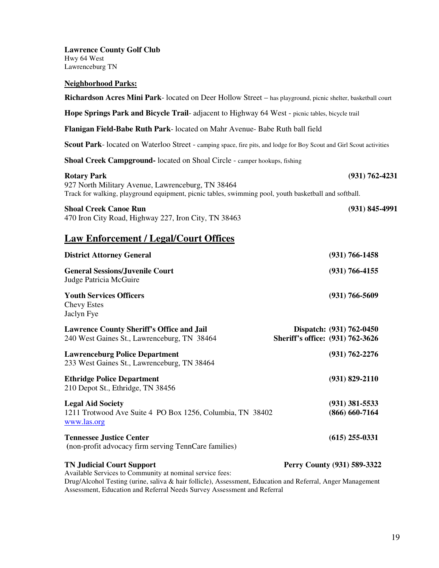**Lawrence County Golf Club**  Hwy 64 West Lawrenceburg TN

#### **Neighborhood Parks:**

**Richardson Acres Mini Park**- located on Deer Hollow Street – has playground, picnic shelter, basketball court **Hope Springs Park and Bicycle Trail**- adjacent to Highway 64 West - picnic tables, bicycle trail **Flanigan Field-Babe Ruth Park**- located on Mahr Avenue- Babe Ruth ball field **Scout Park**- located on Waterloo Street - camping space, fire pits, and lodge for Boy Scout and Girl Scout activities **Shoal Creek Campground-** located on Shoal Circle - camper hookups, fishing **Rotary Park (931) 762-4231**  927 North Military Avenue, Lawrenceburg, TN 38464 Track for walking, playground equipment, picnic tables, swimming pool, youth basketball and softball.

#### **Shoal Creek Canoe Run (931) 845-4991**

470 Iron City Road, Highway 227, Iron City, TN 38463

### **Law Enforcement / Legal/Court Offices**

| <b>District Attorney General</b>                                                                            |                                  | $(931) 766 - 1458$                   |
|-------------------------------------------------------------------------------------------------------------|----------------------------------|--------------------------------------|
| <b>General Sessions/Juvenile Court</b><br>Judge Patricia McGuire                                            |                                  | $(931) 766 - 4155$                   |
| <b>Youth Services Officers</b><br><b>Chevy Estes</b><br>Jaclyn Fye                                          |                                  | $(931) 766 - 5609$                   |
| <b>Lawrence County Sheriff's Office and Jail</b><br>240 West Gaines St., Lawrenceburg, TN 38464             | Sheriff's office: (931) 762-3626 | Dispatch: (931) 762-0450             |
| <b>Lawrenceburg Police Department</b><br>233 West Gaines St., Lawrenceburg, TN 38464                        |                                  | $(931) 762 - 2276$                   |
| <b>Ethridge Police Department</b><br>210 Depot St., Ethridge, TN 38456                                      |                                  | $(931) 829 - 2110$                   |
| <b>Legal Aid Society</b><br>1211 Trotwood Ave Suite 4 PO Box 1256, Columbia, TN 38402<br><u>www.las.org</u> |                                  | $(931)$ 381-5533<br>$(866)$ 660-7164 |
| <b>Tennessee Justice Center</b><br>(non-profit advocacy firm serving TennCare families)                     |                                  | $(615)$ 255-0331                     |
| <b>TN Judicial Court Support</b><br>Available Services to Community at nominal service fees:                |                                  | Perry County (931) 589-3322          |

Drug/Alcohol Testing (urine, saliva & hair follicle), Assessment, Education and Referral, Anger Management Assessment, Education and Referral Needs Survey Assessment and Referral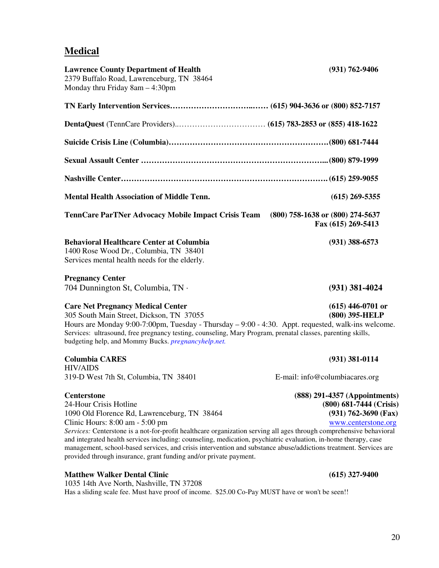## **Medical**

| $(615)$ 269-5355                                                                                                                                                                                                                                                                                                                                                                                                                                                         |
|--------------------------------------------------------------------------------------------------------------------------------------------------------------------------------------------------------------------------------------------------------------------------------------------------------------------------------------------------------------------------------------------------------------------------------------------------------------------------|
|                                                                                                                                                                                                                                                                                                                                                                                                                                                                          |
|                                                                                                                                                                                                                                                                                                                                                                                                                                                                          |
|                                                                                                                                                                                                                                                                                                                                                                                                                                                                          |
|                                                                                                                                                                                                                                                                                                                                                                                                                                                                          |
|                                                                                                                                                                                                                                                                                                                                                                                                                                                                          |
|                                                                                                                                                                                                                                                                                                                                                                                                                                                                          |
| TennCare ParTNer Advocacy Mobile Impact Crisis Team (800) 758-1638 or (800) 274-5637<br>Fax (615) 269-5413                                                                                                                                                                                                                                                                                                                                                               |
| $(931)$ 388-6573                                                                                                                                                                                                                                                                                                                                                                                                                                                         |
|                                                                                                                                                                                                                                                                                                                                                                                                                                                                          |
| $(931)$ 381-4024                                                                                                                                                                                                                                                                                                                                                                                                                                                         |
| $(615)$ 446-0701 or<br>(800) 395-HELP<br>Hours are Monday 9:00-7:00pm, Tuesday - Thursday $-$ 9:00 - 4:30. Appt. requested, walk-ins welcome.<br>Services: ultrasound, free pregnancy testing, counseling, Mary Program, prenatal classes, parenting skills,                                                                                                                                                                                                             |
| $(931)$ 381-0114                                                                                                                                                                                                                                                                                                                                                                                                                                                         |
| E-mail: info@columbiacares.org                                                                                                                                                                                                                                                                                                                                                                                                                                           |
| (888) 291-4357 (Appointments)<br>(800) 681-7444 (Crisis)<br>$(931)$ 762-3690 (Fax)<br>www.centerstone.org<br>Services: Centerstone is a not-for-profit healthcare organization serving all ages through comprehensive behavioral<br>and integrated health services including: counseling, medication, psychiatric evaluation, in-home therapy, case<br>management, school-based services, and crisis intervention and substance abuse/addictions treatment. Services are |
|                                                                                                                                                                                                                                                                                                                                                                                                                                                                          |

#### **Matthew Walker Dental Clinic (615) 327-9400**

1035 14th Ave North, Nashville, TN 37208 Has a sliding scale fee. Must have proof of income. \$25.00 Co-Pay MUST have or won't be seen!!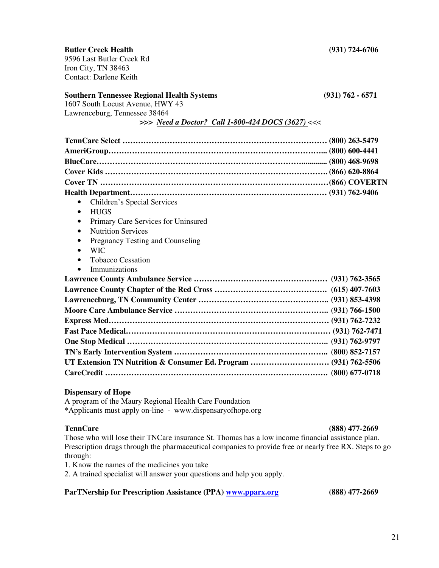**Butler Creek Health (931) 724-6706**  9596 Last Butler Creek Rd Iron City, TN 38463

Contact: Darlene Keith

#### **Southern Tennessee Regional Health Systems (931) 762 - 6571**

1607 South Locust Avenue, HWY 43 Lawrenceburg, Tennessee 38464

 **>>>** *Need a Doctor? Call 1-800-424 DOCS (3627)* <<<

| Children's Special Services<br><b>HUGS</b><br>$\bullet$          |  |
|------------------------------------------------------------------|--|
| Primary Care Services for Uninsured<br>$\bullet$                 |  |
| <b>Nutrition Services</b><br>$\bullet$                           |  |
| Pregnancy Testing and Counseling<br>$\bullet$                    |  |
| <b>WIC</b><br>$\bullet$                                          |  |
| <b>Tobacco Cessation</b>                                         |  |
| Immunizations                                                    |  |
|                                                                  |  |
|                                                                  |  |
|                                                                  |  |
|                                                                  |  |
|                                                                  |  |
|                                                                  |  |
|                                                                  |  |
|                                                                  |  |
| UT Extension TN Nutrition & Consumer Ed. Program  (931) 762-5506 |  |
|                                                                  |  |

#### **Dispensary of Hope**

A program of the Maury Regional Health Care Foundation \*Applicants must apply on-line - www.dispensaryofhope.org

**TennCare (888) 477-2669**  Those who will lose their TNCare insurance St. Thomas has a low income financial assistance plan. Prescription drugs through the pharmaceutical companies to provide free or nearly free RX. Steps to go through:

1. Know the names of the medicines you take

2. A trained specialist will answer your questions and help you apply.

**ParTNership for Prescription Assistance (PPA) www.pparx.org (888) 477-2669**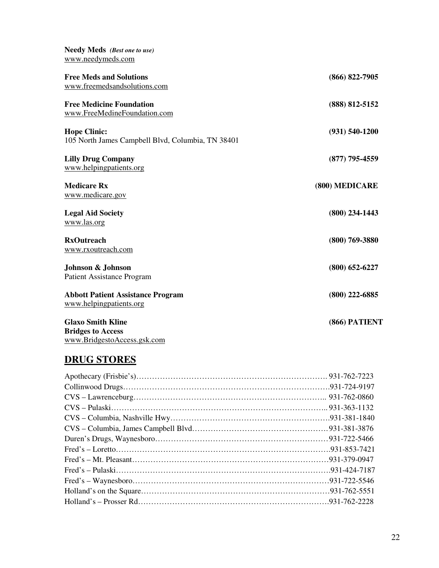| <b>Needy Meds</b> (Best one to use)                                      |                    |
|--------------------------------------------------------------------------|--------------------|
| www.needymeds.com                                                        |                    |
| <b>Free Meds and Solutions</b><br>www.freemedsandsolutions.com           | $(866) 822 - 7905$ |
| <b>Free Medicine Foundation</b><br>www.FreeMedineFoundation.com          | $(888)$ 812-5152   |
| <b>Hope Clinic:</b><br>105 North James Campbell Blvd, Columbia, TN 38401 | $(931) 540 - 1200$ |
| <b>Lilly Drug Company</b><br>www.helpingpatients.org                     | $(877)$ 795-4559   |
| <b>Medicare Rx</b><br>www.medicare.gov                                   | (800) MEDICARE     |
| <b>Legal Aid Society</b><br>www.las.org                                  | $(800)$ 234-1443   |
| <b>RxOutreach</b><br>www.rxoutreach.com                                  | $(800)$ 769-3880   |
| Johnson & Johnson<br><b>Patient Assistance Program</b>                   | $(800)$ 652-6227   |
| <b>Abbott Patient Assistance Program</b><br>www.helpingpatients.org      | $(800)$ 222-6885   |
| <b>Glaxo Smith Kline</b><br><b>Bridges to Access</b>                     | (866) PATIENT      |

# **DRUG STORES**

www.BridgestoAccess.gsk.com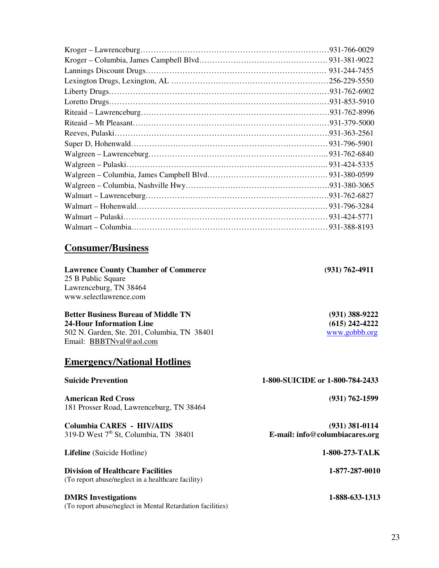23

# **Consumer/Business**

**Lawrence County Chamber of Commerce (931) 762-4911**  25 B Public Square Lawrenceburg, TN 38464 www.selectlawrence.com

**Better Business Bureau of Middle TN (931) 388-9222 24-Hour Information Line** (615) 242-4222 <br>
502 N. Garden, Ste. 201, Columbia, TN 38401 **1996** www.gobb.org 502 N. Garden, Ste. 201, Columbia, TN 38401 Email: BBBTNval@aol.com

# **Emergency/National Hotlines**

| <b>Suicide Prevention</b>                                                                      | 1-800-SUICIDE or 1-800-784-2433                    |
|------------------------------------------------------------------------------------------------|----------------------------------------------------|
| <b>American Red Cross</b><br>181 Prosser Road, Lawrenceburg, TN 38464                          | $(931) 762 - 1599$                                 |
| Columbia CARES - HIV/AIDS<br>319-D West $7th$ St, Columbia, TN 38401                           | $(931)$ 381-0114<br>E-mail: info@columbiacares.org |
| <b>Lifeline</b> (Suicide Hotline)                                                              | 1-800-273-TALK                                     |
| <b>Division of Healthcare Facilities</b><br>(To report abuse/neglect in a healthcare facility) | 1-877-287-0010                                     |
| <b>DMRS</b> Investigations                                                                     | 1-888-633-1313                                     |

(To report abuse/neglect in Mental Retardation facilities)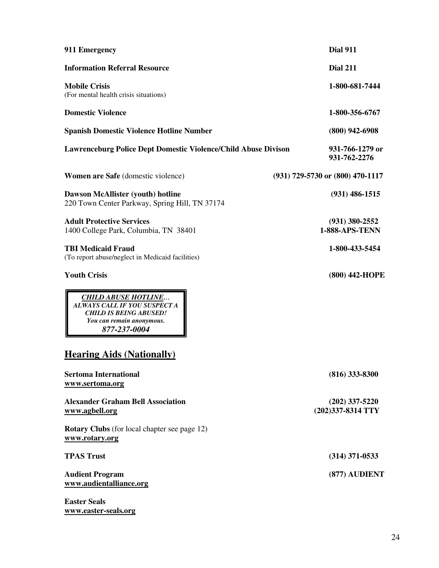| 911 Emergency                                                                                                                            | <b>Dial 911</b>                           |
|------------------------------------------------------------------------------------------------------------------------------------------|-------------------------------------------|
| <b>Information Referral Resource</b>                                                                                                     | <b>Dial 211</b>                           |
| <b>Mobile Crisis</b><br>(For mental health crisis situations)                                                                            | 1-800-681-7444                            |
| <b>Domestic Violence</b>                                                                                                                 | 1-800-356-6767                            |
| <b>Spanish Domestic Violence Hotline Number</b>                                                                                          | $(800)$ 942-6908                          |
| <b>Lawrenceburg Police Dept Domestic Violence/Child Abuse Divison</b>                                                                    | 931-766-1279 or<br>931-762-2276           |
| <b>Women are Safe</b> (domestic violence)                                                                                                | (931) 729-5730 or (800) 470-1117          |
| Dawson McAllister (youth) hotline<br>220 Town Center Parkway, Spring Hill, TN 37174                                                      | $(931)$ 486-1515                          |
| <b>Adult Protective Services</b><br>1400 College Park, Columbia, TN 38401                                                                | $(931)$ 380-2552<br><b>1-888-APS-TENN</b> |
| <b>TBI Medicaid Fraud</b><br>(To report abuse/neglect in Medicaid facilities)                                                            | 1-800-433-5454                            |
| <b>Youth Crisis</b>                                                                                                                      | (800) 442-HOPE                            |
| <b>CHILD ABUSE HOTLINE</b><br>ALWAYS CALL IF YOU SUSPECT A<br><b>CHILD IS BEING ABUSED!</b><br>You can remain anonymous.<br>877-237-0004 |                                           |
| <b>Hearing Aids (Nationally)</b>                                                                                                         |                                           |
| <b>Sertoma International</b><br>www.sertoma.org                                                                                          | $(816)$ 333-8300                          |
| <b>Alexander Graham Bell Association</b><br>www.agbell.org                                                                               | $(202)$ 337-5220<br>(202)337-8314 TTY     |
| <b>Rotary Clubs</b> (for local chapter see page 12)<br>www.rotary.org                                                                    |                                           |
| <b>TPAS Trust</b>                                                                                                                        | $(314)$ 371-0533                          |
| <b>Audient Program</b><br>www.audientalliance.org                                                                                        | (877) AUDIENT                             |
| <b>Easter Seals</b>                                                                                                                      |                                           |

**www.easter-seals.org**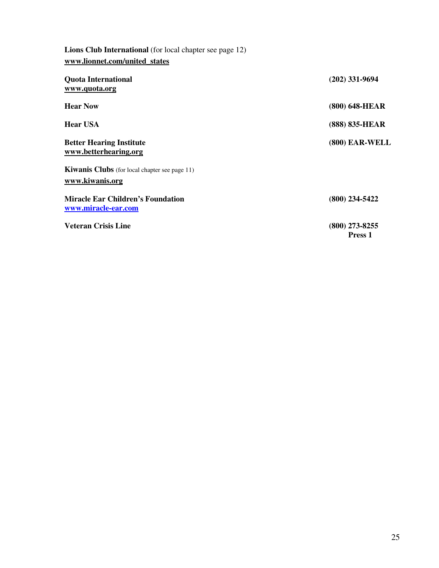| Lions Club International (for local chapter see page 12)                |                             |
|-------------------------------------------------------------------------|-----------------------------|
| www.lionnet.com/united_states                                           |                             |
| <b>Quota International</b><br>www.quota.org                             | $(202)$ 331-9694            |
| <b>Hear Now</b>                                                         | (800) 648-HEAR              |
| <b>Hear USA</b>                                                         | (888) 835-HEAR              |
| <b>Better Hearing Institute</b><br>www.betterhearing.org                | (800) EAR-WELL              |
| <b>Kiwanis Clubs</b> (for local chapter see page 11)<br>www.kiwanis.org |                             |
| <b>Miracle Ear Children's Foundation</b><br>www.miracle-ear.com         | $(800)$ 234-5422            |
| <b>Veteran Crisis Line</b>                                              | $(800)$ 273-8255<br>Press 1 |